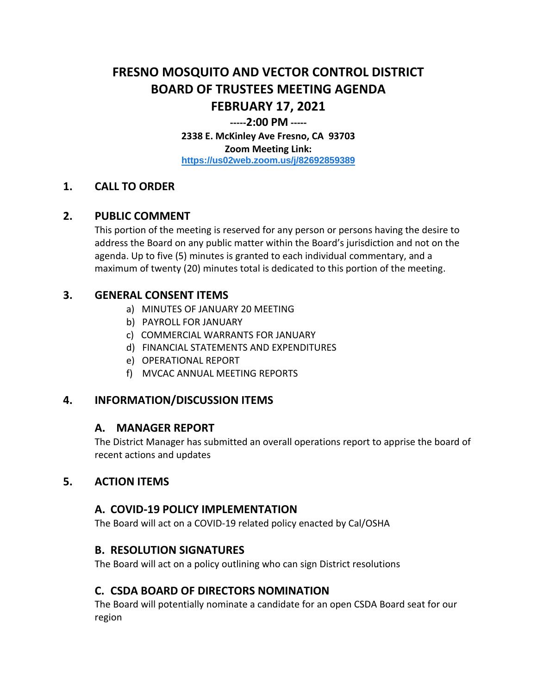# **FRESNO MOSQUITO AND VECTOR CONTROL DISTRICT BOARD OF TRUSTEES MEETING AGENDA FEBRUARY 17, 2021**

#### **-----2:00 PM -----**

**2338 E. McKinley Ave Fresno, CA 93703 Zoom Meeting Link: <https://us02web.zoom.us/j/82692859389>**

## **1. CALL TO ORDER**

#### **2. PUBLIC COMMENT**

This portion of the meeting is reserved for any person or persons having the desire to address the Board on any public matter within the Board's jurisdiction and not on the agenda. Up to five (5) minutes is granted to each individual commentary, and a maximum of twenty (20) minutes total is dedicated to this portion of the meeting.

## **3. GENERAL CONSENT ITEMS**

- a) MINUTES OF JANUARY 20 MEETING
- b) PAYROLL FOR JANUARY
- c) COMMERCIAL WARRANTS FOR JANUARY
- d) FINANCIAL STATEMENTS AND EXPENDITURES
- e) OPERATIONAL REPORT
- f) MVCAC ANNUAL MEETING REPORTS

## **4. INFORMATION/DISCUSSION ITEMS**

## **A. MANAGER REPORT**

The District Manager has submitted an overall operations report to apprise the board of recent actions and updates

## **5. ACTION ITEMS**

## **A. COVID-19 POLICY IMPLEMENTATION**

The Board will act on a COVID-19 related policy enacted by Cal/OSHA

## **B. RESOLUTION SIGNATURES**

The Board will act on a policy outlining who can sign District resolutions

## **C. CSDA BOARD OF DIRECTORS NOMINATION**

The Board will potentially nominate a candidate for an open CSDA Board seat for our region